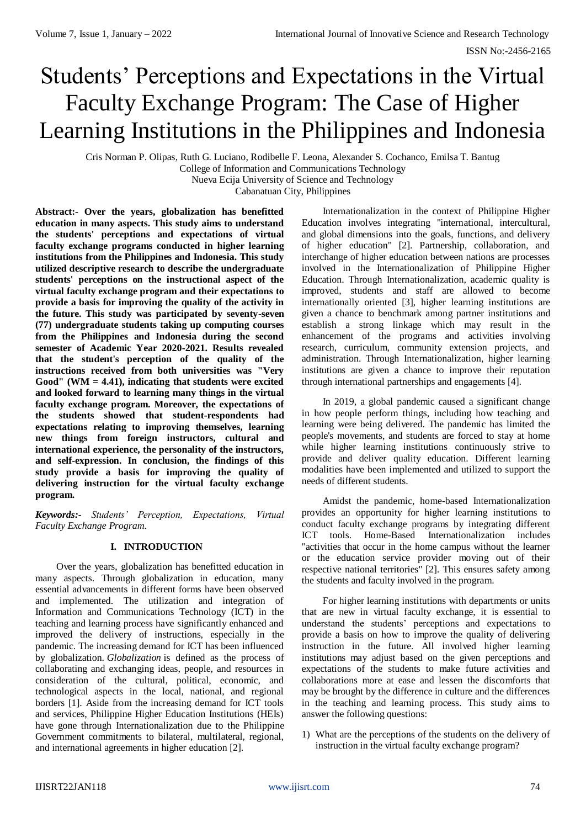# Students' Perceptions and Expectations in the Virtual Faculty Exchange Program: The Case of Higher Learning Institutions in the Philippines and Indonesia

Cris Norman P. Olipas, Ruth G. Luciano, Rodibelle F. Leona, Alexander S. Cochanco, Emilsa T. Bantug College of Information and Communications Technology

Nueva Ecija University of Science and Technology

Cabanatuan City, Philippines

**Abstract:- Over the years, globalization has benefitted education in many aspects. This study aims to understand the students' perceptions and expectations of virtual faculty exchange programs conducted in higher learning institutions from the Philippines and Indonesia. This study utilized descriptive research to describe the undergraduate students' perceptions on the instructional aspect of the virtual faculty exchange program and their expectations to provide a basis for improving the quality of the activity in the future. This study was participated by seventy-seven (77) undergraduate students taking up computing courses from the Philippines and Indonesia during the second semester of Academic Year 2020-2021. Results revealed that the student's perception of the quality of the instructions received from both universities was "Very Good" (WM = 4.41), indicating that students were excited and looked forward to learning many things in the virtual faculty exchange program. Moreover, the expectations of the students showed that student-respondents had expectations relating to improving themselves, learning new things from foreign instructors, cultural and international experience, the personality of the instructors, and self-expression. In conclusion, the findings of this study provide a basis for improving the quality of delivering instruction for the virtual faculty exchange program.**

*Keywords:- Students' Perception, Expectations, Virtual Faculty Exchange Program.*

# **I. INTRODUCTION**

Over the years, globalization has benefitted education in many aspects. Through globalization in education, many essential advancements in different forms have been observed and implemented. The utilization and integration of Information and Communications Technology (ICT) in the teaching and learning process have significantly enhanced and improved the delivery of instructions, especially in the pandemic. The increasing demand for ICT has been influenced by globalization. *Globalization* is defined as the process of collaborating and exchanging ideas, people, and resources in consideration of the cultural, political, economic, and technological aspects in the local, national, and regional borders [1]. Aside from the increasing demand for ICT tools and services, Philippine Higher Education Institutions (HEIs) have gone through Internationalization due to the Philippine Government commitments to bilateral, multilateral, regional, and international agreements in higher education [2].

Internationalization in the context of Philippine Higher Education involves integrating "international, intercultural, and global dimensions into the goals, functions, and delivery of higher education" [2]. Partnership, collaboration, and interchange of higher education between nations are processes involved in the Internationalization of Philippine Higher Education. Through Internationalization, academic quality is improved, students and staff are allowed to become internationally oriented [3], higher learning institutions are given a chance to benchmark among partner institutions and establish a strong linkage which may result in the enhancement of the programs and activities involving research, curriculum, community extension projects, and administration. Through Internationalization, higher learning institutions are given a chance to improve their reputation through international partnerships and engagements [4].

In 2019, a global pandemic caused a significant change in how people perform things, including how teaching and learning were being delivered. The pandemic has limited the people's movements, and students are forced to stay at home while higher learning institutions continuously strive to provide and deliver quality education. Different learning modalities have been implemented and utilized to support the needs of different students.

Amidst the pandemic, home-based Internationalization provides an opportunity for higher learning institutions to conduct faculty exchange programs by integrating different ICT tools. Home-Based Internationalization includes "activities that occur in the home campus without the learner or the education service provider moving out of their respective national territories" [2]. This ensures safety among the students and faculty involved in the program.

For higher learning institutions with departments or units that are new in virtual faculty exchange, it is essential to understand the students' perceptions and expectations to provide a basis on how to improve the quality of delivering instruction in the future. All involved higher learning institutions may adjust based on the given perceptions and expectations of the students to make future activities and collaborations more at ease and lessen the discomforts that may be brought by the difference in culture and the differences in the teaching and learning process. This study aims to answer the following questions:

1) What are the perceptions of the students on the delivery of instruction in the virtual faculty exchange program?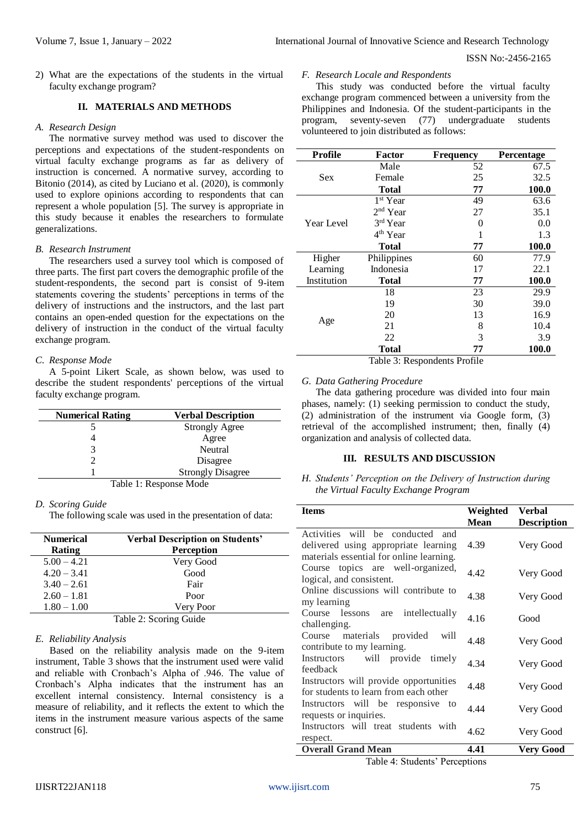2) What are the expectations of the students in the virtual faculty exchange program?

# **II. MATERIALS AND METHODS**

### *A. Research Design*

The normative survey method was used to discover the perceptions and expectations of the student-respondents on virtual faculty exchange programs as far as delivery of instruction is concerned. A normative survey, according to Bitonio (2014), as cited by Luciano et al. (2020), is commonly used to explore opinions according to respondents that can represent a whole population [5]. The survey is appropriate in this study because it enables the researchers to formulate generalizations.

## *B. Research Instrument*

The researchers used a survey tool which is composed of three parts. The first part covers the demographic profile of the student-respondents, the second part is consist of 9-item statements covering the students' perceptions in terms of the delivery of instructions and the instructors, and the last part contains an open-ended question for the expectations on the delivery of instruction in the conduct of the virtual faculty exchange program.

## *C. Response Mode*

A 5-point Likert Scale, as shown below, was used to describe the student respondents' perceptions of the virtual faculty exchange program.

| <b>Numerical Rating</b> | <b>Verbal Description</b> |  |
|-------------------------|---------------------------|--|
|                         | <b>Strongly Agree</b>     |  |
|                         | Agree                     |  |
| 3                       | Neutral                   |  |
|                         | Disagree                  |  |
|                         | <b>Strongly Disagree</b>  |  |
| Table 1: Response Mode  |                           |  |

## *D. Scoring Guide*

The following scale was used in the presentation of data:

| <b>Numerical</b><br><b>Verbal Description on Students'</b> |                   |  |
|------------------------------------------------------------|-------------------|--|
| Rating                                                     | <b>Perception</b> |  |
| $5.00 - 4.21$                                              | Very Good         |  |
| $4.20 - 3.41$                                              | Good              |  |
| $3.40 - 2.61$                                              | Fair              |  |
| $2.60 - 1.81$                                              | Poor              |  |
| $1.80 - 1.00$                                              | Very Poor         |  |
| Table 2: Scoring Guide                                     |                   |  |

## *E. Reliability Analysis*

Based on the reliability analysis made on the 9-item instrument, Table 3 shows that the instrument used were valid and reliable with Cronbach's Alpha of .946. The value of Cronbach's Alpha indicates that the instrument has an excellent internal consistency. Internal consistency is a measure of reliability, and it reflects the extent to which the items in the instrument measure various aspects of the same construct [6].

#### *F. Research Locale and Respondents*

This study was conducted before the virtual faculty exchange program commenced between a university from the Philippines and Indonesia. Of the student-participants in the program, seventy-seven (77) undergraduate students volunteered to join distributed as follows:

| <b>Profile</b> | Factor               | <b>Frequency</b>  | <b>Percentage</b> |
|----------------|----------------------|-------------------|-------------------|
| <b>Sex</b>     | Male                 | 52                | 67.5              |
|                | Female               | 25                | 32.5              |
|                | Total                | 77                | <b>100.0</b>      |
| Year Level     | 1 <sup>st</sup> Year | 49                | 63.6              |
|                | $2nd$ Year           | 27                | 35.1              |
|                | 3rd Year             | $\mathbf{\Omega}$ | 0.0               |
|                | 4 <sup>th</sup> Year |                   | 1.3               |
|                | Total                | 77                | 100.0             |
| Higher         | Philippines          | 60                | 77.9              |
| Learning       | Indonesia            | 17                | 22.1              |
| Institution    | Total                | 77                | 100.0             |
| Age            | 18                   | 23                | 29.9              |
|                | 19                   | 30                | 39.0              |
|                | 20                   | 13                | 16.9              |
|                | 21                   | 8                 | 10.4              |
|                | 22                   | 3                 | 3.9               |
|                | <b>Total</b>         | 77                | 100.0             |

Table 3: Respondents Profile

# *G. Data Gathering Procedure*

The data gathering procedure was divided into four main phases, namely: (1) seeking permission to conduct the study, (2) administration of the instrument via Google form, (3) retrieval of the accomplished instrument; then, finally (4) organization and analysis of collected data.

## **III. RESULTS AND DISCUSSION**

## *H. Students' Perception on the Delivery of Instruction during the Virtual Faculty Exchange Program*

| <b>Items</b>                             | Weighted    | <b>Verbal</b>      |
|------------------------------------------|-------------|--------------------|
|                                          | <b>Mean</b> | <b>Description</b> |
| Activities will be conducted<br>and      |             |                    |
| delivered using appropriate learning     | 4.39        | Very Good          |
| materials essential for online learning. |             |                    |
| Course topics are well-organized,        | 4.42        |                    |
| logical, and consistent.                 |             | Very Good          |
| Online discussions will contribute to    | 4.38        |                    |
| my learning                              |             | Very Good          |
| Course lessons are intellectually        | 4.16        | Good               |
| challenging.                             |             |                    |
| Course materials provided<br>will        | 4.48        | Very Good          |
| contribute to my learning.               |             |                    |
| will provide<br>timely<br>Instructors    | 4.34        | Very Good          |
| feedback                                 |             |                    |
| Instructors will provide opportunities   | 4.48        | Very Good          |
| for students to learn from each other    |             |                    |
| Instructors will be responsive to        | 4.44        | Very Good          |
| requests or inquiries.                   |             |                    |
| Instructors will treat students with     | 4.62        | Very Good          |
| respect.                                 |             |                    |
| <b>Overall Grand Mean</b>                | 4.41        | <b>Very Good</b>   |

Table 4: Students' Perceptions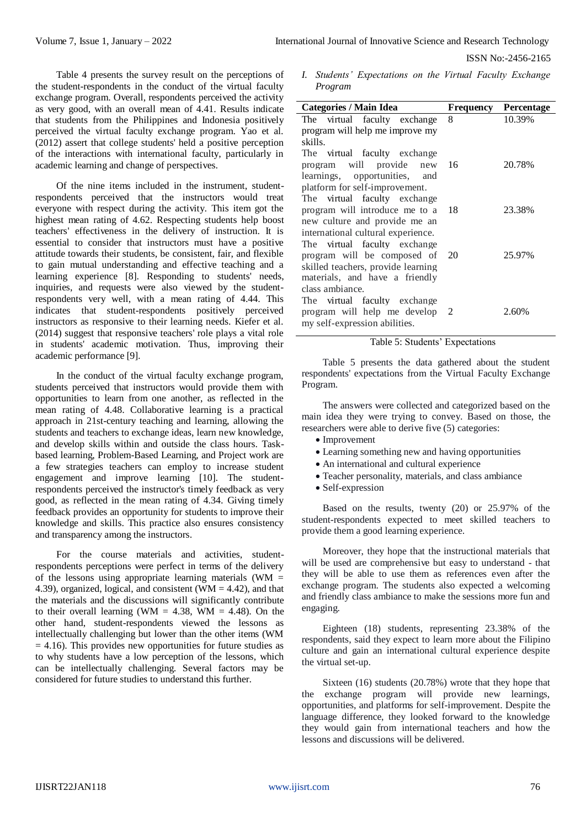ISSN No:-2456-2165

Table 4 presents the survey result on the perceptions of the student-respondents in the conduct of the virtual faculty exchange program. Overall, respondents perceived the activity as very good, with an overall mean of 4.41. Results indicate that students from the Philippines and Indonesia positively perceived the virtual faculty exchange program. Yao et al. (2012) assert that college students' held a positive perception of the interactions with international faculty, particularly in academic learning and change of perspectives.

Of the nine items included in the instrument, studentrespondents perceived that the instructors would treat everyone with respect during the activity. This item got the highest mean rating of 4.62. Respecting students help boost teachers' effectiveness in the delivery of instruction. It is essential to consider that instructors must have a positive attitude towards their students, be consistent, fair, and flexible to gain mutual understanding and effective teaching and a learning experience [8]. Responding to students' needs, inquiries, and requests were also viewed by the studentrespondents very well, with a mean rating of 4.44. This indicates that student-respondents positively perceived instructors as responsive to their learning needs. Kiefer et al. (2014) suggest that responsive teachers' role plays a vital role in students' academic motivation. Thus, improving their academic performance [9].

In the conduct of the virtual faculty exchange program, students perceived that instructors would provide them with opportunities to learn from one another, as reflected in the mean rating of 4.48. Collaborative learning is a practical approach in 21st-century teaching and learning, allowing the students and teachers to exchange ideas, learn new knowledge, and develop skills within and outside the class hours. Taskbased learning, Problem-Based Learning, and Project work are a few strategies teachers can employ to increase student engagement and improve learning [10]. The studentrespondents perceived the instructor's timely feedback as very good, as reflected in the mean rating of 4.34. Giving timely feedback provides an opportunity for students to improve their knowledge and skills. This practice also ensures consistency and transparency among the instructors.

For the course materials and activities, studentrespondents perceptions were perfect in terms of the delivery of the lessons using appropriate learning materials (WM  $=$ 4.39), organized, logical, and consistent ( $WM = 4.42$ ), and that the materials and the discussions will significantly contribute to their overall learning (WM =  $4.38$ , WM =  $4.48$ ). On the other hand, student-respondents viewed the lessons as intellectually challenging but lower than the other items (WM  $= 4.16$ ). This provides new opportunities for future studies as to why students have a low perception of the lessons, which can be intellectually challenging. Several factors may be considered for future studies to understand this further.

*I. Students' Expectations on the Virtual Faculty Exchange Program*

| <b>Categories / Main Idea</b>      | Frequency | <b>Percentage</b> |
|------------------------------------|-----------|-------------------|
| The virtual faculty exchange       | 8         | 10.39%            |
| program will help me improve my    |           |                   |
| skills.                            |           |                   |
| The virtual faculty exchange       |           |                   |
| program will provide new           | - 16      | 20.78%            |
| learnings, opportunities, and      |           |                   |
| platform for self-improvement.     |           |                   |
| The virtual faculty exchange       |           |                   |
| program will introduce me to a     | - 18      | 23.38%            |
| new culture and provide me an      |           |                   |
| international cultural experience. |           |                   |
| The virtual faculty exchange       |           |                   |
| program will be composed of 20     |           | 25.97%            |
| skilled teachers, provide learning |           |                   |
| materials, and have a friendly     |           |                   |
| class ambiance.                    |           |                   |
| The virtual faculty exchange       |           |                   |
| program will help me develop 2     |           | 2.60%             |
| my self-expression abilities.      |           |                   |

Table 5: Students' Expectations

Table 5 presents the data gathered about the student respondents' expectations from the Virtual Faculty Exchange Program.

The answers were collected and categorized based on the main idea they were trying to convey. Based on those, the researchers were able to derive five (5) categories:

- Improvement
- Learning something new and having opportunities
- An international and cultural experience
- Teacher personality, materials, and class ambiance
- Self-expression

Based on the results, twenty (20) or 25.97% of the student-respondents expected to meet skilled teachers to provide them a good learning experience.

Moreover, they hope that the instructional materials that will be used are comprehensive but easy to understand - that they will be able to use them as references even after the exchange program. The students also expected a welcoming and friendly class ambiance to make the sessions more fun and engaging.

Eighteen (18) students, representing 23.38% of the respondents, said they expect to learn more about the Filipino culture and gain an international cultural experience despite the virtual set-up.

Sixteen (16) students (20.78%) wrote that they hope that the exchange program will provide new learnings, opportunities, and platforms for self-improvement. Despite the language difference, they looked forward to the knowledge they would gain from international teachers and how the lessons and discussions will be delivered.